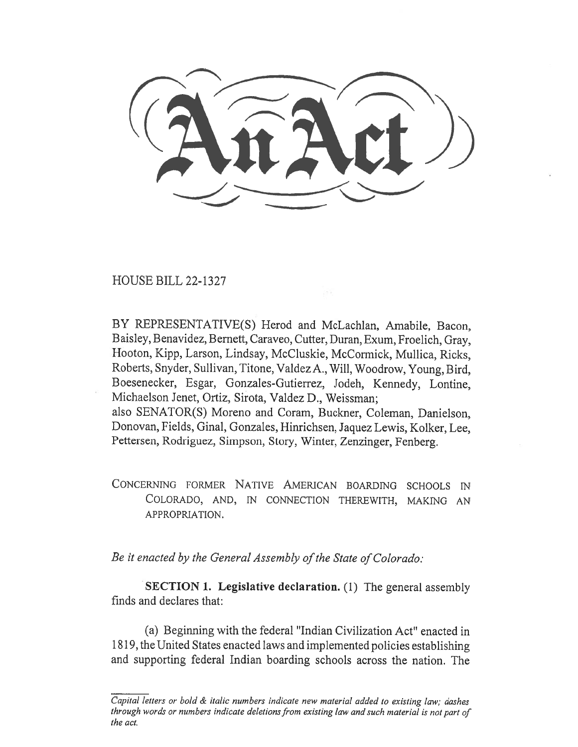HOUSE BILL 22-1327

BY REPRESENTATIVE(S) Herod and McLachlan, Amabile, Bacon, Baisley, Benavidez, Bernett, Caraveo, Cutter, Duran, Exum, Froelich, Gray, Hooton, Kipp, Larson, Lindsay, McCluskie, McCormick, Mullica, Ricks, Roberts, Snyder, Sullivan, Titone, Valdez A., Will, Woodrow, Young, Bird, Boesenecker, Esgar, Gonzales-Gutierrez, Jodeh, Kennedy, Lontine, Michaelson Jenet, Ortiz, Sirota, Valdez D., Weissman; also SENATOR(S) Moreno and Coram, Buckner, Coleman, Danielson, Donovan, Fields, Ginal, Gonzales, Hinrichsen, Jaquez Lewis, Kolker, Lee, Pettersen, Rodriguez, Simpson, Story, Winter, Zenzinger, Fenberg.

CONCERNING FORMER NATIVE AMERICAN BOARDING SCHOOLS IN COLORADO, AND, IN CONNECTION THEREWITH, MAKING AN APPROPRIATION.

Be it enacted by the General Assembly of the State of Colorado:

SECTION 1. Legislative declaration. (1) The general assembly finds and declares that:

(a) Beginning with the federal "Indian Civilization Act" enacted in 1819, the United States enacted laws and implemented policies establishing and supporting federal Indian boarding schools across the nation. The

Capital letters or bold & italic numbers indicate new material added to existing law; dashes through words or numbers indicate deletions from existing law and such material is not part of the act.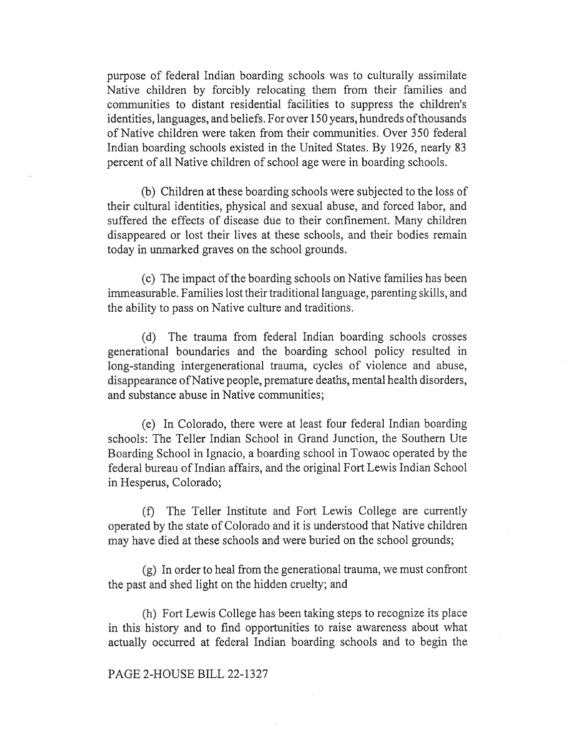purpose of federal Indian boarding schools was to culturally assimilate Native children by forcibly relocating them from their families and communities to distant residential facilities to suppress the children's identities, languages, and beliefs. For over 150 years, hundreds of thousands of Native children were taken from their communities. Over 350 federal Indian boarding schools existed in the United States. By 1926, nearly 83 percent of all Native children of school age were in boarding schools.

(b) Children at these boarding schools were subjected to the loss of their cultural identities, physical and sexual abuse, and forced labor, and suffered the effects of disease due to their confinement. Many children disappeared or lost their lives at these schools, and their bodies remain today in unmarked graves on the school grounds.

(c) The impact of the boarding schools on Native families has been immeasurable. Families lost their traditional language, parenting skills, and the ability to pass on Native culture and traditions.

(d) The trauma from federal Indian boarding schools crosses generational boundaries and the boarding school policy resulted in long-standing intergenerational trauma, cycles of violence and abuse, disappearance ofNative people, premature deaths, mental health disorders, and substance abuse in Native communities;

(e) In Colorado, there were at least four federal Indian boarding schools: The Teller Indian School in Grand Junction, the Southern Ute Boarding School in Ignacio, a boarding school in Towaoc operated by the federal bureau of Indian affairs, and the original Fort Lewis Indian School in Hesperus, Colorado;

(f) The Teller Institute and Fort Lewis College are currently operated by the state of Colorado and it is understood that Native children may have died at these schools and were buried on the school grounds;

(g) In order to heal from the generational trauma, we must confront the past and shed light on the hidden cruelty; and

(h) Fort Lewis College has been taking steps to recognize its place in this history and to find opportunities to raise awareness about what actually occurred at federal Indian boarding schools and to begin the

## PAGE 2-HOUSE BILL 22-1327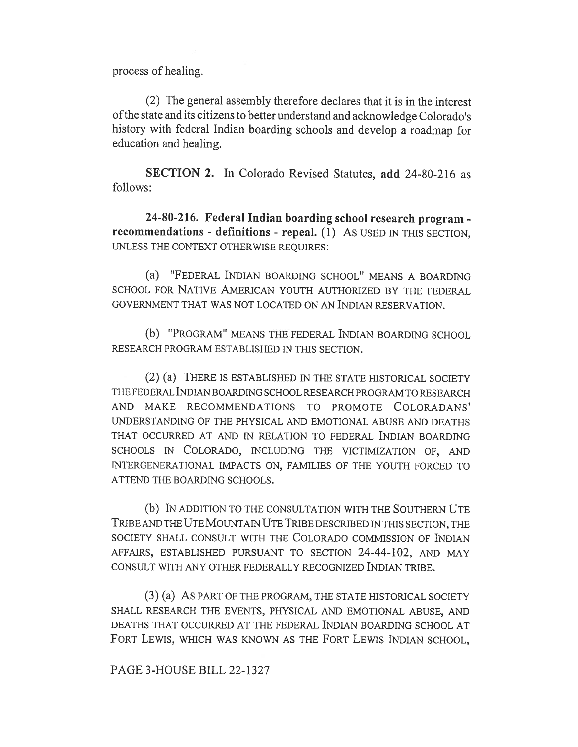process of healing.

(2) The general assembly therefore declares that it is in the interest of the state and its citizens to better understand and acknowledge Colorado's history with federal Indian boarding schools and develop a roadmap for education and healing.

SECTION 2. In Colorado Revised Statutes, add 24-80-216 as follows:

24-80-216. Federal Indian boarding school research program recommendations - definitions - repeal. (1) AS USED IN THIS SECTION, UNLESS THE CONTEXT OTHERWISE REQUIRES:

(a) "FEDERAL INDIAN BOARDING SCHOOL" MEANS A BOARDING SCHOOL FOR NATIVE AMERICAN YOUTH AUTHORIZED BY THE FEDERAL GOVERNMENT THAT WAS NOT LOCATED ON AN INDIAN RESERVATION.

(b) "PROGRAM" MEANS THE FEDERAL INDIAN BOARDING SCHOOL RESEARCH PROGRAM ESTABLISHED IN THIS SECTION.

(2) (a) THERE IS ESTABLISHED IN THE STATE HISTORICAL SOCIETY THE FEDERAL INDIAN BOARDING SCHOOL RESEARCH PROGRAM TO RESEARCH AND MAKE RECOMMENDATIONS TO PROMOTE COLORADANS' UNDERSTANDING OF THE PHYSICAL AND EMOTIONAL ABUSE AND DEATHS THAT OCCURRED AT AND IN RELATION TO FEDERAL INDIAN BOARDING SCHOOLS IN COLORADO, INCLUDING THE VICTIMIZATION OF, AND INTERGENERATIONAL IMPACTS ON, FAMILIES OF THE YOUTH FORCED TO ATTEND THE BOARDING SCHOOLS.

(b) IN ADDITION TO THE CONSULTATION WITH THE SOUTHERN UTE TRIBE AND THE UTE MOUNTAIN UTE TRIBE DESCRIBED IN THIS SECTION, THE SOCIETY SHALL CONSULT WITH THE COLORADO COMMISSION OF INDIAN AFFAIRS, ESTABLISHED PURSUANT TO SECTION 24-44-102, AND MAY CONSULT WITH ANY OTHER FEDERALLY RECOGNIZED INDIAN TRIBE.

(3) (a) AS PART OF THE PROGRAM, THE STATE HISTORICAL SOCIETY SHALL RESEARCH THE EVENTS, PHYSICAL AND EMOTIONAL ABUSE, AND DEATHS THAT OCCURRED AT THE FEDERAL INDIAN BOARDING SCHOOL AT FORT LEWIS, WHICH WAS KNOWN AS THE FORT LEWIS INDIAN SCHOOL,

PAGE 3-HOUSE BILL 22-1327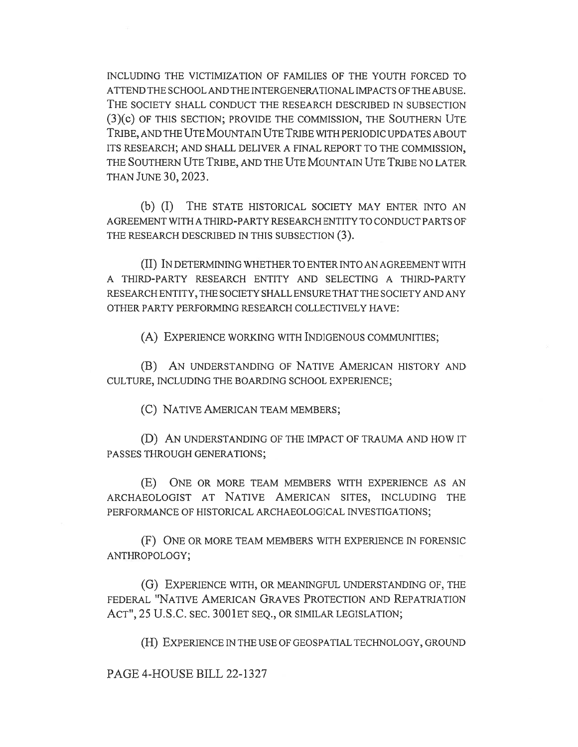INCLUDING THE VICTIMIZATION OF FAMILIES OF THE YOUTH FORCED TO ATTEND THE SCHOOL AND THE INTERGENERATIONAL IMPACTS OF THE ABUSE. THE SOCIETY SHALL CONDUCT THE RESEARCH DESCRIBED IN SUBSECTION (3)(c) OF THIS SECTION; PROVIDE THE COMMISSION, THE SOUTHERN UTE TRIBE, AND THE UTE MOUNTAIN UTE TRIBE WITH PERIODIC UPDATES ABOUT ITS RESEARCH; AND SHALL DELIVER A FINAL REPORT TO THE COMMISSION, THE SOUTHERN UTE TRIBE, AND THE UTE MOUNTAIN UTE TRIBE NO LATER THAN JUNE 30, 2023.

(b) (I) THE STATE HISTORICAL SOCIETY MAY ENTER INTO AN AGREEMENT WITH A THIRD-PARTY RESEARCH ENTITY TO CONDUCT PARTS OF THE RESEARCH DESCRIBED IN THIS SUBSECTION (3).

(II) IN DETERMINING WHETHER TO ENTER INTO AN AGREEMENT WITH A THIRD-PARTY RESEARCH ENTITY AND SELECTING A THIRD-PARTY RESEARCH ENTITY, THE SOCIETY SHALL ENSURE THAT THE SOCIETY AND ANY OTHER PARTY PERFORMING RESEARCH COLLECTIVELY HAVE:

(A) EXPERIENCE WORKING WITH INDIGENOUS COMMUNITIES;

(B) AN UNDERSTANDING OF NATIVE AMERICAN HISTORY AND CULTURE, INCLUDING THE BOARDING SCHOOL EXPERIENCE;

(C) NATIVE AMERICAN TEAM MEMBERS;

(D) AN UNDERSTANDING OF THE IMPACT OF TRAUMA AND HOW IT PASSES THROUGH GENERATIONS;

(E) ONE OR MORE TEAM MEMBERS WITH EXPERIENCE AS AN ARCHAEOLOGIST AT NATIVE AMERICAN SITES, INCLUDING THE PERFORMANCE OF HISTORICAL ARCHAEOLOGICAL INVESTIGATIONS;

(F) ONE OR MORE TEAM MEMBERS WITH EXPERIENCE IN FORENSIC ANTHROPOLOGY;

(G) EXPERIENCE WITH, OR MEANINGFUL UNDERSTANDING OF, THE FEDERAL "NATIVE AMERICAN GRAVES PROTECTION AND REPATRIATION ACT", 25 U.S.C. SEC. 3001 ET SEQ., OR SIMILAR LEGISLATION;

(H) EXPERIENCE IN THE USE OF GEOSPATIAL TECHNOLOGY, GROUND

PAGE 4-HOUSE BILL 22-1327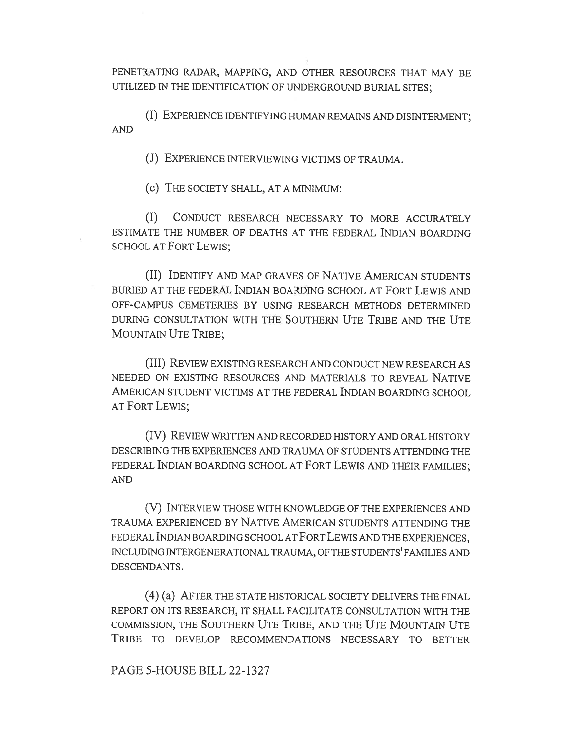PENETRATING RADAR, MAPPING, AND OTHER RESOURCES THAT MAY BE UTILIZED IN THE IDENTIFICATION OF UNDERGROUND BURIAL SITES;

(I) EXPERIENCE IDENTIFYING HUMAN REMAINS AND DISINTERMENT; AND

(J) EXPERIENCE INTERVIEWING VICTIMS OF TRAUMA.

(c) THE SOCIETY SHALL, AT A MINIMUM:

(I) CONDUCT RESEARCH NECESSARY TO MORE ACCURATELY ESTIMATE THE NUMBER OF DEATHS AT THE FEDERAL INDIAN BOARDING SCHOOL AT FORT LEWIS;

(II) IDENTIFY AND MAP GRAVES OF NATIVE AMERICAN STUDENTS BURIED AT THE FEDERAL INDIAN BOARDING SCHOOL AT FORT LEWIS AND OFF-CAMPUS CEMETERIES BY USING RESEARCH METHODS DETERMINED DURING CONSULTATION WITH THE SOUTHERN UTE TRIBE AND THE UTE MOUNTAIN UTE TRIBE;

(III) REVIEW EXISTING RESEARCH AND CONDUCT NEW RESEARCH AS NEEDED ON EXISTING RESOURCES AND MATERIALS TO REVEAL NATIVE AMERICAN STUDENT VICTIMS AT THE FEDERAL INDIAN BOARDING SCHOOL AT FORT LEWIS;

(IV) REVIEW WRITTEN AND RECORDED HISTORY AND ORAL HISTORY DESCRIBING THE EXPERIENCES AND TRAUMA OF STUDENTS ATTENDING THE FEDERAL INDIAN BOARDING SCHOOL AT FORT LEWIS AND THEIR FAMILIES; AND

(V) INTERVIEW THOSE WITH KNOWLEDGE OF THE EXPERIENCES AND TRAUMA EXPERIENCED BY NATIVE AMERICAN STUDENTS ATTENDING THE FEDERAL INDIAN BOARDING SCHOOL AT FORT LEWIS AND THE EXPERIENCES, INCLUDING INTERGENERATIONAL TRAUMA, OF THE STUDENTS' FAMILIES AND DESCENDANTS.

(4) (a) AFTER THE STATE HISTORICAL SOCIETY DELIVERS THE FINAL REPORT ON ITS RESEARCH, IT SHALL FACILITATE CONSULTATION WITH THE COMMISSION, THE SOUTHERN UTE TRIBE, AND THE UTE MOUNTAIN UTE TRIBE TO DEVELOP RECOMMENDATIONS NECESSARY TO BETTER

PAGE 5-HOUSE BILL 22-1327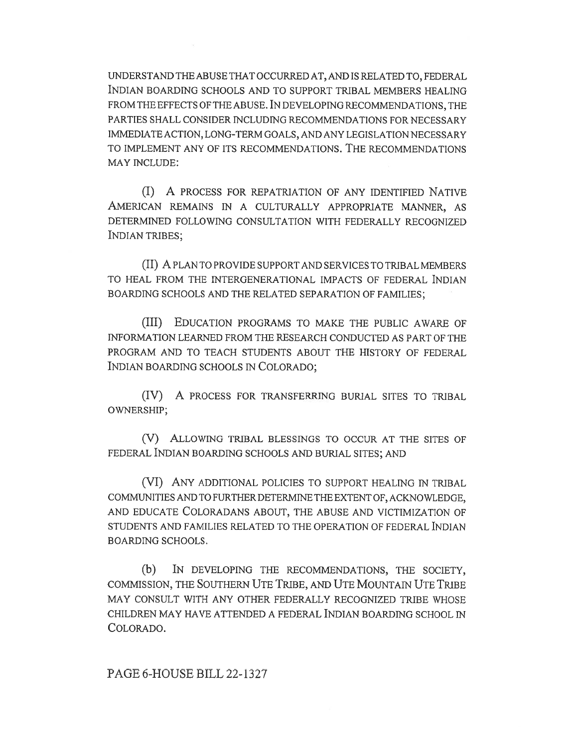UNDERSTAND THE ABUSE THAT OCCURRED AT, AND IS RELATED TO, FEDERAL INDIAN BOARDING SCHOOLS AND TO SUPPORT TRIBAL MEMBERS HEALING FROM THE EFFECTS OF THE ABUSE. IN DEVELOPING RECOMMENDATIONS, THE PARTIES SHALL CONSIDER INCLUDING RECOMMENDATIONS FOR NECESSARY IMMEDIATE ACTION, LONG-TERM GOALS, AND ANY LEGISLATION NECESSARY TO IMPLEMENT ANY OF ITS RECOMMENDATIONS. THE RECOMMENDATIONS MAY INCLUDE:

(I) A PROCESS FOR REPATRIATION OF ANY IDENTIFIED NATIVE AMERICAN REMAINS IN A CULTURALLY APPROPRIATE MANNER, AS DETERMINED FOLLOWING CONSULTATION WITH FEDERALLY RECOGNIZED INDIAN TRIBES;

(II) A PLAN TO PROVIDE SUPPORT AND SERVICES TO TRIBAL MEMBERS TO HEAL FROM THE INTERGENERATIONAL IMPACTS OF FEDERAL INDIAN BOARDING SCHOOLS AND THE RELATED SEPARATION OF FAMILIES;

(III) EDUCATION PROGRAMS TO MAKE THE PUBLIC AWARE OF INFORMATION LEARNED FROM THE RESEARCH CONDUCTED AS PART OF THE PROGRAM AND TO TEACH STUDENTS ABOUT THE HISTORY OF FEDERAL INDIAN BOARDING SCHOOLS IN COLORADO;

(IV) A PROCESS FOR TRANSFERRING BURIAL SITES TO TRIBAL OWNERSHIP;

(V) ALLOWING TRIBAL BLESSINGS TO OCCUR AT THE SITES OF FEDERAL INDIAN BOARDING SCHOOLS AND BURIAL SITES; AND

(VI) ANY ADDITIONAL POLICIES TO SUPPORT HEALING IN TRIBAL COMMUNITIES AND TO FURTHER DETERMINE THE EXTENT OF, ACKNOWLEDGE, AND EDUCATE COLORADANS ABOUT, THE ABUSE AND VICTIMIZATION OF STUDENTS AND FAMILIES RELATED TO THE OPERATION OF FEDERAL INDIAN BOARDING SCHOOLS.

(b) IN DEVELOPING THE RECOMMENDATIONS, THE SOCIETY, COMMISSION, THE SOUTHERN UTE TRIBE, AND UTE MOUNTAIN UTE TRIBE MAY CONSULT WITH ANY OTHER FEDERALLY RECOGNIZED TRIBE WHOSE CHILDREN MAY HAVE ATTENDED A FEDERAL INDIAN BOARDING SCHOOL IN COLORADO.

PAGE 6-HOUSE BILL 22-1327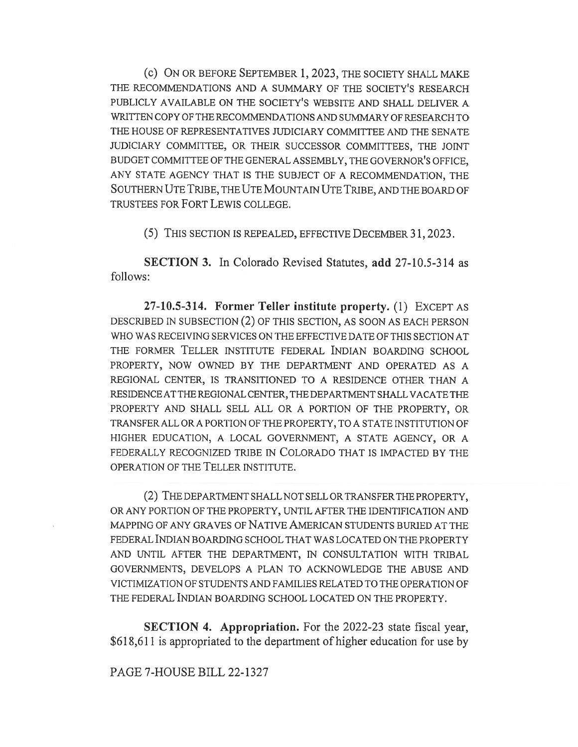(c) ON OR BEFORE SEPTEMBER 1, 2023, THE SOCIETY SHALL MAKE THE RECOMMENDATIONS AND A SUMMARY OF THE SOCIETY'S RESEARCH PUBLICLY AVAILABLE ON THE SOCIETY'S WEBSITE AND SHALL DELIVER A WRITTEN COPY OF THE RECOMMENDATIONS AND SUMMARY OF RESEARCH TO THE HOUSE OF REPRESENTATIVES JUDICIARY COMMITTEE AND THE SENATE JUDICIARY COMMITTEE, OR THEIR SUCCESSOR COMMITTEES, THE JOINT BUDGET COMMITTEE OF THE GENERAL ASSEMBLY, THE GOVERNOR'S OFFICE, ANY STATE AGENCY THAT IS THE SUBJECT OF A RECOMMENDATION, THE SOUTHERN UTE TRIBE, THE UTE MOUNTAIN UTE TRIBE, AND THE BOARD OF TRUSTEES FOR FORT LEWIS COLLEGE.

(5) THIS SECTION IS REPEALED, EFFECTIVE DECEMBER 31, 2023.

SECTION 3. In Colorado Revised Statutes, add 27-10.5-314 as follows:

27-10.5-314. Former Teller institute property. (1) EXCEPT AS DESCRIBED IN SUBSECTION (2) OF THIS SECTION, AS SOON AS EACH PERSON WHO WAS RECEIVING SERVICES ON THE EFFECTIVE DATE OF THIS SECTION AT THE FORMER TELLER INSTITUTE FEDERAL INDIAN BOARDING SCHOOL PROPERTY, NOW OWNED BY THE DEPARTMENT AND OPERATED AS A REGIONAL CENTER, IS TRANSITIONED TO A RESIDENCE OTHER THAN A RESIDENCE AT THE REGIONAL CENTER, THE DEPARTMENT SHALL VACATE THE PROPERTY AND SHALL SELL ALL OR A PORTION OF THE PROPERTY, OR TRANSFER ALL OR A PORTION OF THE PROPERTY, TO A STATE INSTITUTION OF HIGHER EDUCATION, A LOCAL GOVERNMENT, A STATE AGENCY, OR A FEDERALLY RECOGNIZED TRIBE IN COLORADO THAT IS IMPACTED BY THE OPERATION OF THE TELLER INSTITUTE.

(2) THE DEPARTMENT SHALL NOT SELL OR TRANSFER THE PROPERTY, OR ANY PORTION OF THE PROPERTY, UNTIL AFTER THE IDENTIFICATION AND MAPPING OF ANY GRAVES OF NATIVE AMERICAN STUDENTS BURIED AT THE FEDERAL INDIAN BOARDING SCHOOL THAT WAS LOCATED ON THE PROPERTY AND UNTIL AFTER THE DEPARTMENT, IN CONSULTATION WITH TRIBAL GOVERNMENTS, DEVELOPS A PLAN TO ACKNOWLEDGE THE ABUSE AND VICTIMIZATION OF STUDENTS AND FAMILIES RELATED TO THE OPERATION OF THE FEDERAL INDIAN BOARDING SCHOOL LOCATED ON THE PROPERTY.

SECTION 4. Appropriation. For the 2022-23 state fiscal year, \$618,611 is appropriated to the department of higher education for use by

## PAGE 7-HOUSE BILL 22-1327